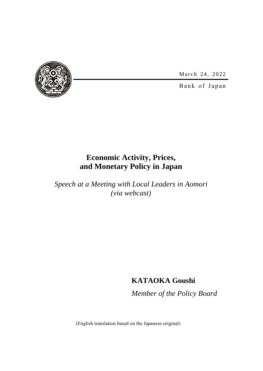March 24, 2022



Bank of Japan

# **Economic Activity, Prices, and Monetary Policy in Japan**

*Speech at a Meeting with Local Leaders in Aomori (via webcast)*

# **KATAOKA Goushi**

*Member of the Policy Board*

(English translation based on the Japanese original)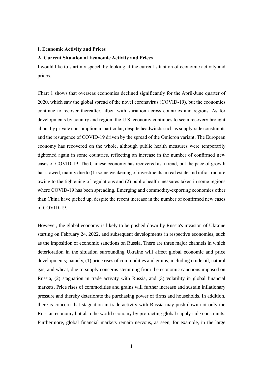#### **I. Economic Activity and Prices**

# **A. Current Situation of Economic Activity and Prices**

I would like to start my speech by looking at the current situation of economic activity and prices.

Chart 1 shows that overseas economies declined significantly for the April-June quarter of 2020, which saw the global spread of the novel coronavirus (COVID-19), but the economies continue to recover thereafter, albeit with variation across countries and regions. As for developments by country and region, the U.S. economy continues to see a recovery brought about by private consumption in particular, despite headwinds such as supply-side constraints and the resurgence of COVID-19 driven by the spread of the Omicron variant. The European economy has recovered on the whole, although public health measures were temporarily tightened again in some countries, reflecting an increase in the number of confirmed new cases of COVID-19. The Chinese economy has recovered as a trend, but the pace of growth has slowed, mainly due to (1) some weakening of investments in real estate and infrastructure owing to the tightening of regulations and (2) public health measures taken in some regions where COVID-19 has been spreading. Emerging and commodity-exporting economies other than China have picked up, despite the recent increase in the number of confirmed new cases of COVID-19.

However, the global economy is likely to be pushed down by Russia's invasion of Ukraine starting on February 24, 2022, and subsequent developments in respective economies, such as the imposition of economic sanctions on Russia. There are three major channels in which deterioration in the situation surrounding Ukraine will affect global economic and price developments; namely, (1) price rises of commodities and grains, including crude oil, natural gas, and wheat, due to supply concerns stemming from the economic sanctions imposed on Russia, (2) stagnation in trade activity with Russia, and (3) volatility in global financial markets. Price rises of commodities and grains will further increase and sustain inflationary pressure and thereby deteriorate the purchasing power of firms and households. In addition, there is concern that stagnation in trade activity with Russia may push down not only the Russian economy but also the world economy by protracting global supply-side constraints. Furthermore, global financial markets remain nervous, as seen, for example, in the large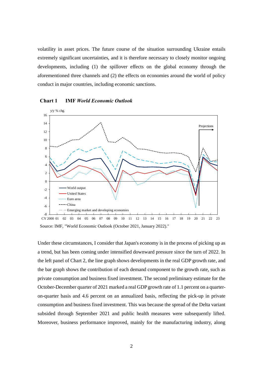volatility in asset prices. The future course of the situation surrounding Ukraine entails extremely significant uncertainties, and it is therefore necessary to closely monitor ongoing developments, including (1) the spillover effects on the global economy through the aforementioned three channels and (2) the effects on economies around the world of policy conduct in major countries, including economic sanctions.



**Chart 1 IMF** *World Economic Outlook*

Under these circumstances, I consider that Japan's economy is in the process of picking up as a trend, but has been coming under intensified downward pressure since the turn of 2022. In the left panel of Chart 2, the line graph shows developments in the real GDP growth rate, and the bar graph shows the contribution of each demand component to the growth rate, such as private consumption and business fixed investment. The second preliminary estimate for the October-December quarter of 2021 marked a real GDP growth rate of 1.1 percent on a quarteron-quarter basis and 4.6 percent on an annualized basis, reflecting the pick-up in private consumption and business fixed investment. This was because the spread of the Delta variant subsided through September 2021 and public health measures were subsequently lifted. Moreover, business performance improved, mainly for the manufacturing industry, along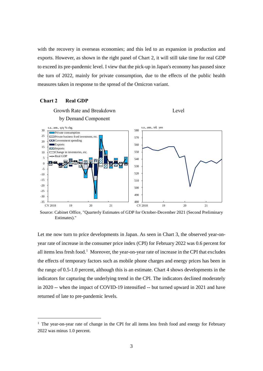with the recovery in overseas economies; and this led to an expansion in production and exports. However, as shown in the right panel of Chart 2, it will still take time for real GDP to exceed its pre-pandemic level. I view that the pick-up in Japan's economy has paused since the turn of 2022, mainly for private consumption, due to the effects of the public health measures taken in response to the spread of the Omicron variant.

## **Chart 2 Real GDP**

-



Source: Cabinet Office, "Quarterly Estimates of GDP for October-December 2021 (Second Preliminary Estimates)."

Let me now turn to price developments in Japan. As seen in Chart 3, the observed year-onyear rate of increase in the consumer price index (CPI) for February 2022 was 0.6 percent for all items less fresh food.<sup>1</sup> Moreover, the year-on-year rate of increase in the CPI that excludes the effects of temporary factors such as mobile phone charges and energy prices has been in the range of 0.5-1.0 percent, although this is an estimate. Chart 4 shows developments in the indicators for capturing the underlying trend in the CPI. The indicators declined moderately in 2020 -- when the impact of COVID-19 intensified -- but turned upward in 2021 and have returned of late to pre-pandemic levels.

<sup>&</sup>lt;sup>1</sup> The year-on-year rate of change in the CPI for all items less fresh food and energy for February 2022 was minus 1.0 percent.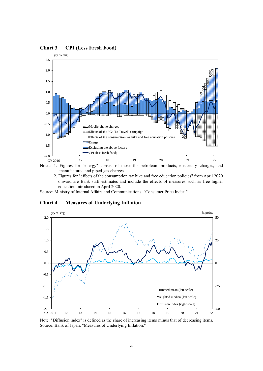

**Chart 3 CPI (Less Fresh Food)**

2. Figures for "effects of the consumption tax hike and free education policies" from April 2020 onward are Bank staff estimates and include the effects of measures such as free higher

education introduced in April 2020.

Source: Ministry of Internal Affairs and Communications, "Consumer Price Index."





Note: "Diffusion index" is defined as the share of increasing items minus that of decreasing items. Source: Bank of Japan, "Measures of Underlying Inflation."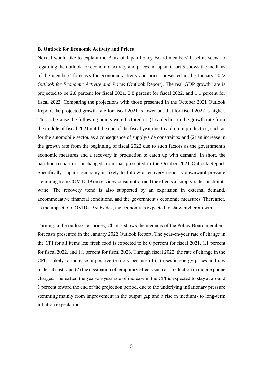#### **B. Outlook for Economic Activity and Prices**

Next, I would like to explain the Bank of Japan Policy Board members' baseline scenario regarding the outlook for economic activity and prices in Japan. Chart 5 shows the medians of the members' forecasts for economic activity and prices presented in the January 2022 *Outlook for Economic Activity and Prices* (Outlook Report). The real GDP growth rate is projected to be 2.8 percent for fiscal 2021, 3.8 percent for fiscal 2022, and 1.1 percent for fiscal 2023. Comparing the projections with those presented in the October 2021 Outlook Report, the projected growth rate for fiscal 2021 is lower but that for fiscal 2022 is higher. This is because the following points were factored in: (1) a decline in the growth rate from the middle of fiscal 2021 until the end of the fiscal year due to a drop in production, such as for the automobile sector, as a consequence of supply-side constraints; and (2) an increase in the growth rate from the beginning of fiscal 2022 due to such factors as the government's economic measures and a recovery in production to catch up with demand. In short, the baseline scenario is unchanged from that presented in the October 2021 Outlook Report. Specifically, Japan's economy is likely to follow a recovery trend as downward pressure stemming from COVID-19 on services consumption and the effects of supply-side constraints wane. The recovery trend is also supported by an expansion in external demand, accommodative financial conditions, and the government's economic measures. Thereafter, as the impact of COVID-19 subsides, the economy is expected to show higher growth.

Turning to the outlook for prices, Chart 5 shows the medians of the Policy Board members' forecasts presented in the January 2022 Outlook Report. The year-on-year rate of change in the CPI for all items less fresh food is expected to be 0 percent for fiscal 2021, 1.1 percent for fiscal 2022, and 1.1 percent for fiscal 2023. Through fiscal 2022, the rate of change in the CPI is likely to increase in positive territory because of (1) rises in energy prices and raw material costs and (2) the dissipation of temporary effects such as a reduction in mobile phone charges. Thereafter, the year-on-year rate of increase in the CPI is expected to stay at around 1 percent toward the end of the projection period, due to the underlying inflationary pressure stemming mainly from improvement in the output gap and a rise in medium- to long-term inflation expectations.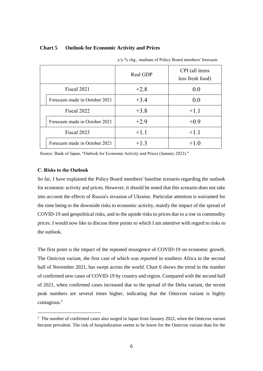# **Chart 5 Outlook for Economic Activity and Prices**

|  |                                | Real GDP | CPI (all items<br>less fresh food) |
|--|--------------------------------|----------|------------------------------------|
|  | Fiscal 2021                    | $+2.8$   | 0.0                                |
|  | Forecasts made in October 2021 | $+3.4$   | 0.0                                |
|  | Fiscal 2022                    | $+3.8$   | $+1.1$                             |
|  | Forecasts made in October 2021 | $+2.9$   | $+0.9$                             |
|  | Fiscal 2023                    | $+1.1$   | $+1.1$                             |
|  | Forecasts made in October 2021 | $+1.3$   | $+1.0$                             |

y/y % chg., medians of Policy Board members' forecasts

Source: Bank of Japan, "Outlook for Economic Activity and Prices (January 2022)."

## **C. Risks to the Outlook**

-

So far, I have explained the Policy Board members' baseline scenario regarding the outlook for economic activity and prices. However, it should be noted that this scenario does not take into account the effects of Russia's invasion of Ukraine. Particular attention is warranted for the time being to the downside risks to economic activity, mainly the impact of the spread of COVID-19 and geopolitical risks, and to the upside risks to prices due to a rise in commodity prices. I would now like to discuss three points to which I am attentive with regard to risks to the outlook.

The first point is the impact of the repeated resurgence of COVID-19 on economic growth. The Omicron variant, the first case of which was reported in southern Africa in the second half of November 2021, has swept across the world. Chart 6 shows the trend in the number of confirmed new cases of COVID-19 by country and region. Compared with the second half of 2021, when confirmed cases increased due to the spread of the Delta variant, the recent peak numbers are several times higher, indicating that the Omicron variant is highly contagious.<sup>2</sup>

<sup>&</sup>lt;sup>2</sup> The number of confirmed cases also surged in Japan from January 2022, when the Omicron variant became prevalent. The risk of hospitalization seems to be lower for the Omicron variant than for the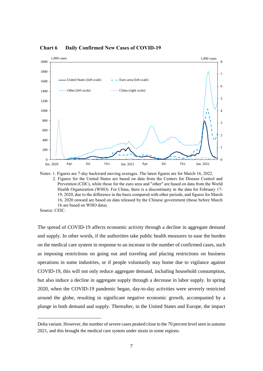

**Chart 6 Daily Confirmed New Cases of COVID-19**

Notes: 1. Figures are 7-day backward moving averages. The latest figures are for March 16, 2022. 2. Figures for the United States are based on data from the Centers for Disease Control and Prevention (CDC), while those for the euro area and "other" are based on data from the World Health Organization (WHO). For China, there is a discontinuity in the data for February 17- 19, 2020, due to the difference in the basis compared with other periods, and figures for March 16, 2020 onward are based on data released by the Chinese government (those before March 16 are based on WHO data).

Source: CEIC.

-

The spread of COVID-19 affects economic activity through a decline in aggregate demand and supply. In other words, if the authorities take public health measures to ease the burden on the medical care system in response to an increase in the number of confirmed cases, such as imposing restrictions on going out and traveling and placing restrictions on business operations in some industries, or if people voluntarily stay home due to vigilance against COVID-19, this will not only reduce aggregate demand, including household consumption, but also induce a decline in aggregate supply through a decrease in labor supply. In spring 2020, when the COVID-19 pandemic began, day-to-day activities were severely restricted around the globe, resulting in significant negative economic growth, accompanied by a plunge in both demand and supply. Thereafter, in the United States and Europe, the impact

Delta variant. However, the number of severe cases peaked close to the 70 percent level seen in autumn 2021, and this brought the medical care system under strain in some regions.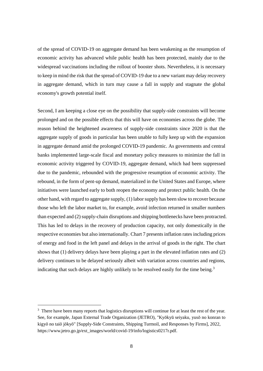of the spread of COVID-19 on aggregate demand has been weakening as the resumption of economic activity has advanced while public health has been protected, mainly due to the widespread vaccinations including the rollout of booster shots. Nevertheless, it is necessary to keep in mind the risk that the spread of COVID-19 due to a new variant may delay recovery in aggregate demand, which in turn may cause a fall in supply and stagnate the global economy's growth potential itself.

Second, I am keeping a close eye on the possibility that supply-side constraints will become prolonged and on the possible effects that this will have on economies across the globe. The reason behind the heightened awareness of supply-side constraints since 2020 is that the aggregate supply of goods in particular has been unable to fully keep up with the expansion in aggregate demand amid the prolonged COVID-19 pandemic. As governments and central banks implemented large-scale fiscal and monetary policy measures to minimize the fall in economic activity triggered by COVID-19, aggregate demand, which had been suppressed due to the pandemic, rebounded with the progressive resumption of economic activity. The rebound, in the form of pent-up demand, materialized in the United States and Europe, where initiatives were launched early to both reopen the economy and protect public health. On the other hand, with regard to aggregate supply, (1) labor supply has been slow to recover because those who left the labor market to, for example, avoid infection returned in smaller numbers than expected and (2) supply-chain disruptions and shipping bottlenecks have been protracted. This has led to delays in the recovery of production capacity, not only domestically in the respective economies but also internationally. Chart 7 presents inflation rates including prices of energy and food in the left panel and delays in the arrival of goods in the right. The chart shows that (1) delivery delays have been playing a part in the elevated inflation rates and (2) delivery continues to be delayed seriously albeit with variation across countries and regions, indicating that such delays are highly unlikely to be resolved easily for the time being.<sup>3</sup>

-

<sup>&</sup>lt;sup>3</sup> There have been many reports that logistics disruptions will continue for at least the rest of the year. See, for example, Japan External Trade Organization (JETRO), "Kyōkyū seiyaku, yusō no konran to kigyō no taiō jōkyō" [Supply-Side Constraints, Shipping Turmoil, and Responses by Firms], 2022, https://www.jetro.go.jp/ext\_images/world/covid-19/info/logistics0217r.pdf.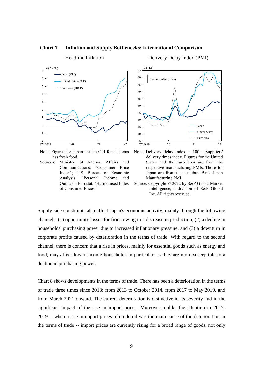

#### **Chart 7 Inflation and Supply Bottlenecks: International Comparison**

Note: Figures for Japan are the CPI for all items less fresh food.

Sources: Ministry of Internal Affairs and Communications, "Consumer Price Index"; U.S. Bureau of Economic Analysis, "Personal Income and Outlays"; Eurostat, "Harmonised Index of Consumer Prices."



Note: Delivery delay index = 100 - Suppliers' delivery times index. Figures for the United States and the euro area are from the respective manufacturing PMIs. Those for Japan are from the au Jibun Bank Japan Manufacturing PMI.



Supply-side constraints also affect Japan's economic activity, mainly through the following channels: (1) opportunity losses for firms owing to a decrease in production, (2) a decline in households' purchasing power due to increased inflationary pressure, and (3) a downturn in corporate profits caused by deterioration in the terms of trade. With regard to the second channel, there is concern that a rise in prices, mainly for essential goods such as energy and food, may affect lower-income households in particular, as they are more susceptible to a decline in purchasing power.

Chart 8 shows developments in the terms of trade. There has been a deterioration in the terms of trade three times since 2013: from 2013 to October 2014, from 2017 to May 2019, and from March 2021 onward. The current deterioration is distinctive in its severity and in the significant impact of the rise in import prices. Moreover, unlike the situation in 2017- 2019 -- when a rise in import prices of crude oil was the main cause of the deterioration in the terms of trade -- import prices are currently rising for a broad range of goods, not only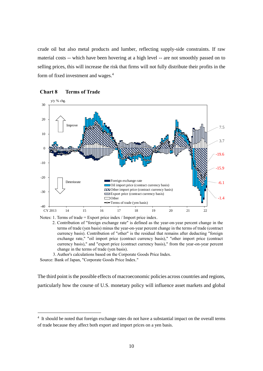crude oil but also metal products and lumber, reflecting supply-side constraints. If raw material costs -- which have been hovering at a high level -- are not smoothly passed on to selling prices, this will increase the risk that firms will not fully distribute their profits in the form of fixed investment and wages.<sup>4</sup>



#### **Chart 8 Terms of Trade**

Notes: 1. Terms of trade = Export price index / Import price index.

2. Contribution of "foreign exchange rate" is defined as the year-on-year percent change in the terms of trade (yen basis) minus the year-on-year percent change in the terms of trade (contract currency basis). Contribution of "other" is the residual that remains after deducting "foreign exchange rate," "oil import price (contract currency basis)," "other import price (contract currency basis)," and "export price (contract currency basis)," from the year-on-year percent change in the terms of trade (yen basis).

3. Author's calculations based on the Corporate Goods Price Index.

Source: Bank of Japan, "Corporate Goods Price Index."

-

The third point is the possible effects of macroeconomic policies across countries and regions, particularly how the course of U.S. monetary policy will influence asset markets and global

<sup>&</sup>lt;sup>4</sup> It should be noted that foreign exchange rates do not have a substantial impact on the overall terms of trade because they affect both export and import prices on a yen basis.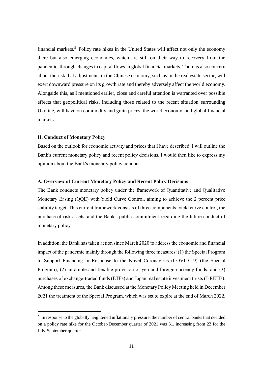financial markets.<sup>5</sup> Policy rate hikes in the United States will affect not only the economy there but also emerging economies, which are still on their way to recovery from the pandemic, through changes in capital flows in global financial markets. There is also concern about the risk that adjustments in the Chinese economy, such as in the real estate sector, will exert downward pressure on its growth rate and thereby adversely affect the world economy. Alongside this, as I mentioned earlier, close and careful attention is warranted over possible effects that geopolitical risks, including those related to the recent situation surrounding Ukraine, will have on commodity and grain prices, the world economy, and global financial markets.

## **II. Conduct of Monetary Policy**

-

Based on the outlook for economic activity and prices that I have described, I will outline the Bank's current monetary policy and recent policy decisions. I would then like to express my opinion about the Bank's monetary policy conduct.

# **A. Overview of Current Monetary Policy and Recent Policy Decisions**

The Bank conducts monetary policy under the framework of Quantitative and Qualitative Monetary Easing (QQE) with Yield Curve Control, aiming to achieve the 2 percent price stability target. This current framework consists of three components: yield curve control, the purchase of risk assets, and the Bank's public commitment regarding the future conduct of monetary policy.

In addition, the Bank has taken action since March 2020 to address the economic and financial impact of the pandemic mainly through the following three measures: (1) the Special Program to Support Financing in Response to the Novel Coronavirus (COVID-19) (the Special Program); (2) an ample and flexible provision of yen and foreign currency funds; and (3) purchases of exchange-traded funds (ETFs) and Japan real estate investment trusts (J-REITs). Among these measures, the Bank discussed at the Monetary Policy Meeting held in December 2021 the treatment of the Special Program, which was set to expire at the end of March 2022.

<sup>&</sup>lt;sup>5</sup> In response to the globally heightened inflationary pressure, the number of central banks that decided on a policy rate hike for the October-December quarter of 2021 was 31, increasing from 23 for the July-September quarter.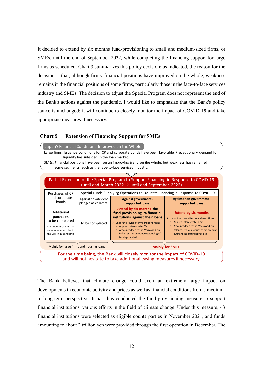It decided to extend by six months fund-provisioning to small and medium-sized firms, or SMEs, until the end of September 2022, while completing the financing support for large firms as scheduled. Chart 9 summarizes this policy decision; as indicated, the reason for the decision is that, although firms' financial positions have improved on the whole, weakness remains in the financial positions of some firms, particularly those in the face-to-face services industry and SMEs. The decision to adjust the Special Program does not represent the end of the Bank's actions against the pandemic. I would like to emphasize that the Bank's policy stance is unchanged: it will continue to closely monitor the impact of COVID-19 and take appropriate measures if necessary.

|                                                                                                                                                                                                                                                                                                                                                                            | Japan's Financial Conditions: Improved on the Whole<br>Large firms: <b>Issuance conditions for CP</b> and corporate bonds have been favorable. Precautionary demand for |                                                                                    |                                                                                                                                                                                                                                                                                                |                                                                                                                                                                                                                                                  |  |  |  |
|----------------------------------------------------------------------------------------------------------------------------------------------------------------------------------------------------------------------------------------------------------------------------------------------------------------------------------------------------------------------------|-------------------------------------------------------------------------------------------------------------------------------------------------------------------------|------------------------------------------------------------------------------------|------------------------------------------------------------------------------------------------------------------------------------------------------------------------------------------------------------------------------------------------------------------------------------------------|--------------------------------------------------------------------------------------------------------------------------------------------------------------------------------------------------------------------------------------------------|--|--|--|
| liquidity has subsided in the loan market.<br>SMEs: Financial positions have been on an improving trend on the whole, but weakness has remained in<br>some segments, such as the face-to-face services industry.<br>Partial Extension of the Special Program to Support Financing in Response to COVID-19<br>(until end-March 2022 $\rightarrow$ until end-September 2022) |                                                                                                                                                                         |                                                                                    |                                                                                                                                                                                                                                                                                                |                                                                                                                                                                                                                                                  |  |  |  |
|                                                                                                                                                                                                                                                                                                                                                                            | Purchases of CP                                                                                                                                                         | Special Funds-Supplying Operations to Facilitate Financing in Response to COVID-19 |                                                                                                                                                                                                                                                                                                |                                                                                                                                                                                                                                                  |  |  |  |
|                                                                                                                                                                                                                                                                                                                                                                            | and corporate<br>bonds                                                                                                                                                  | Against private debt<br>pledged as collateral                                      | <b>Against government-</b><br>supported loans                                                                                                                                                                                                                                                  | <b>Against non-government-</b><br>supported loans                                                                                                                                                                                                |  |  |  |
|                                                                                                                                                                                                                                                                                                                                                                            | Additional<br>purchases<br>to be completed<br>Continue purchasing the<br>same amount as prior to<br>the COVID-19 pandemic                                               | To be completed                                                                    | <b>Extend by six months the</b><br>fund-provisioning to financial<br>institutions against their loans<br>$\triangleright$ Under the revised terms and conditions<br>• Applied interest rate: 0%<br>• Amount added to the Macro Add-on<br>Balances: the amount outstanding of<br>funds provided | <b>Extend by six months</b><br>$\triangleright$ Under the current terms and conditions<br>Applied interest rate: 0.2%<br>$\bullet$<br>Amount added to the Macro Add-on<br>Balances: twice as much as the amount<br>outstanding of funds provided |  |  |  |
| Mainly for large firms and housing loans                                                                                                                                                                                                                                                                                                                                   |                                                                                                                                                                         |                                                                                    | <b>Mainly for SMEs</b>                                                                                                                                                                                                                                                                         |                                                                                                                                                                                                                                                  |  |  |  |
| For the time being, the Bank will closely monitor the impact of COVID-19<br>and will not hesitate to take additional easing measures if necessary.                                                                                                                                                                                                                         |                                                                                                                                                                         |                                                                                    |                                                                                                                                                                                                                                                                                                |                                                                                                                                                                                                                                                  |  |  |  |

#### **Chart 9 Extension of Financing Support for SMEs**

The Bank believes that climate change could exert an extremely large impact on developments in economic activity and prices as well as financial conditions from a mediumto long-term perspective. It has thus conducted the fund-provisioning measure to support financial institutions' various efforts in the field of climate change. Under this measure, 43 financial institutions were selected as eligible counterparties in November 2021, and funds amounting to about 2 trillion yen were provided through the first operation in December. The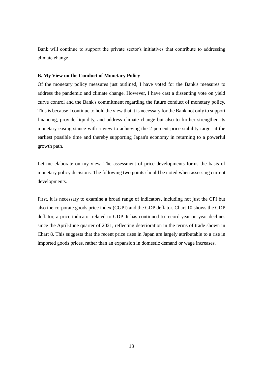Bank will continue to support the private sector's initiatives that contribute to addressing climate change.

### **B. My View on the Conduct of Monetary Policy**

Of the monetary policy measures just outlined, I have voted for the Bank's measures to address the pandemic and climate change. However, I have cast a dissenting vote on yield curve control and the Bank's commitment regarding the future conduct of monetary policy. This is because I continue to hold the view that it is necessary for the Bank not only to support financing, provide liquidity, and address climate change but also to further strengthen its monetary easing stance with a view to achieving the 2 percent price stability target at the earliest possible time and thereby supporting Japan's economy in returning to a powerful growth path.

Let me elaborate on my view. The assessment of price developments forms the basis of monetary policy decisions. The following two points should be noted when assessing current developments.

First, it is necessary to examine a broad range of indicators, including not just the CPI but also the corporate goods price index (CGPI) and the GDP deflator. Chart 10 shows the GDP deflator, a price indicator related to GDP. It has continued to record year-on-year declines since the April-June quarter of 2021, reflecting deterioration in the terms of trade shown in Chart 8. This suggests that the recent price rises in Japan are largely attributable to a rise in imported goods prices, rather than an expansion in domestic demand or wage increases.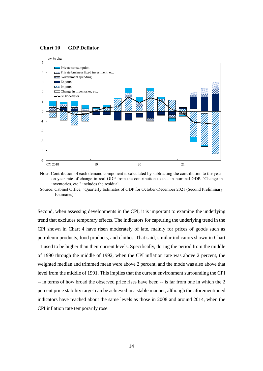## **Chart 10 GDP Deflator**



Note: Contribution of each demand component is calculated by subtracting the contribution to the yearon-year rate of change in real GDP from the contribution to that in nominal GDP. "Change in inventories, etc." includes the residual.

Source: Cabinet Office, "Quarterly Estimates of GDP for October-December 2021 (Second Preliminary Estimates)."

Second, when assessing developments in the CPI, it is important to examine the underlying trend that excludes temporary effects. The indicators for capturing the underlying trend in the CPI shown in Chart 4 have risen moderately of late, mainly for prices of goods such as petroleum products, food products, and clothes. That said, similar indicators shown in Chart 11 used to be higher than their current levels. Specifically, during the period from the middle of 1990 through the middle of 1992, when the CPI inflation rate was above 2 percent, the weighted median and trimmed mean were above 2 percent, and the mode was also above that level from the middle of 1991. This implies that the current environment surrounding the CPI -- in terms of how broad the observed price rises have been -- is far from one in which the 2 percent price stability target can be achieved in a stable manner, although the aforementioned indicators have reached about the same levels as those in 2008 and around 2014, when the CPI inflation rate temporarily rose.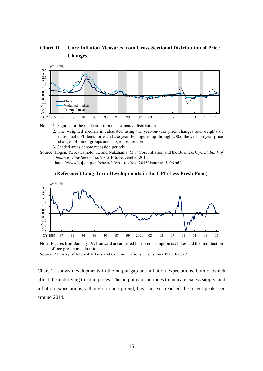**Chart 11 Core Inflation Measures from Cross-Sectional Distribution of Price Changes**



Notes: 1. Figures for the mode are from the estimated distribution.

- 2. The weighted median is calculated using the year-on-year price changes and weights of individual CPI items for each base year. For figures up through 2005, the year-on-year price changes of minor groups and subgroups are used.
- 3. Shaded areas denote recession periods.
- Source: Hogen, Y., Kawamoto, T., and Nakahama, M., "Core Inflation and the Business Cycle," *Bank of Japan Review Series*, no. 2015-E-6, November 2015,

https://www.boj.or.jp/en/research/wps\_rev/rev\_2015/data/rev15e06.pdf.





Note: Figures from January 1991 onward are adjusted for the consumption tax hikes and the introduction of free preschool education.

Source: Ministry of Internal Affairs and Communications, "Consumer Price Index."

Chart 12 shows developments in the output gap and inflation expectations, both of which affect the underlying trend in prices. The output gap continues to indicate excess supply, and inflation expectations, although on an uptrend, have not yet reached the recent peak seen around 2014.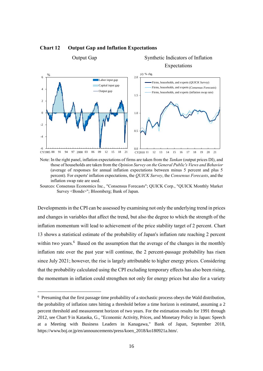

Output Gap Synthetic Indicators of Inflation

# **Chart 12 Output Gap and Inflation Expectations**

Note: In the right panel, inflation expectations of firms are taken from the *Tankan* (output prices DI), and those of households are taken from the *Opinion Survey on the General Public's Views and Behavior* (average of responses for annual inflation expectations between minus 5 percent and plus 5 percent). For experts' inflation expectations, the *QUICK Survey*, the *Consensus Forecasts*, and the inflation swap rate are used.

Developments in the CPI can be assessed by examining not only the underlying trend in prices and changes in variables that affect the trend, but also the degree to which the strength of the inflation momentum will lead to achievement of the price stability target of 2 percent. Chart 13 shows a statistical estimate of the probability of Japan's inflation rate reaching 2 percent within two years.<sup>6</sup> Based on the assumption that the average of the changes in the monthly inflation rate over the past year will continue, the 2 percent-passage probability has risen since July 2021; however, the rise is largely attributable to higher energy prices. Considering that the probability calculated using the CPI excluding temporary effects has also been rising, the momentum in inflation could strengthen not only for energy prices but also for a variety

-

Sources: Consensus Economics Inc., "Consensus Forecasts"; QUICK Corp., "QUICK Monthly Market Survey <Bonds>"; Bloomberg; Bank of Japan.

<sup>6</sup> Presuming that the first passage time probability of a stochastic process obeys the Wald distribution, the probability of inflation rates hitting a threshold before a time horizon is estimated, assuming a 2 percent threshold and measurement horizon of two years. For the estimation results for 1991 through 2012, see Chart 9 in Kataoka, G., "Economic Activity, Prices, and Monetary Policy in Japan: Speech at a Meeting with Business Leaders in Kanagawa," Bank of Japan, September 2018, https://www.boj.or.jp/en/announcements/press/koen\_2018/ko180921a.htm/.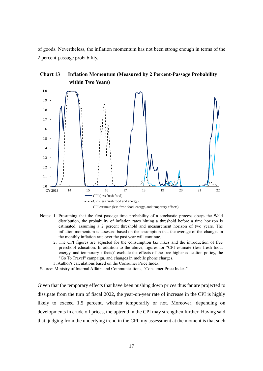of goods. Nevertheless, the inflation momentum has not been strong enough in terms of the 2 percent-passage probability.





- Notes: 1. Presuming that the first passage time probability of a stochastic process obeys the Wald distribution, the probability of inflation rates hitting a threshold before a time horizon is estimated, assuming a 2 percent threshold and measurement horizon of two years. The inflation momentum is assessed based on the assumption that the average of the changes in the monthly inflation rate over the past year will continue.
	- 2. The CPI figures are adjusted for the consumption tax hikes and the introduction of free preschool education. In addition to the above, figures for "CPI estimate (less fresh food, energy, and temporary effects)" exclude the effects of the free higher education policy, the "Go To Travel" campaign, and changes in mobile phone charges.
	- 3. Author's calculations based on the Consumer Price Index.

Source: Ministry of Internal Affairs and Communications, "Consumer Price Index."

Given that the temporary effects that have been pushing down prices thus far are projected to dissipate from the turn of fiscal 2022, the year-on-year rate of increase in the CPI is highly likely to exceed 1.5 percent, whether temporarily or not. Moreover, depending on developments in crude oil prices, the uptrend in the CPI may strengthen further. Having said that, judging from the underlying trend in the CPI, my assessment at the moment is that such